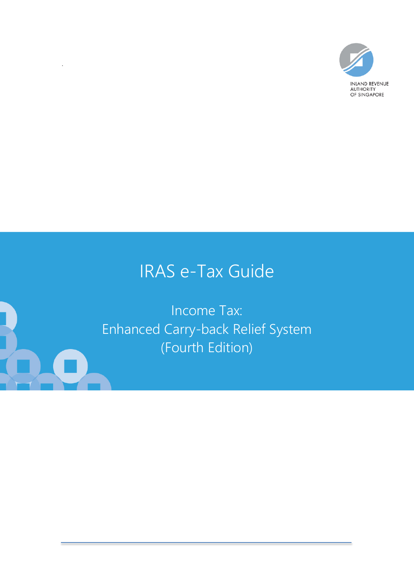

# IRAS e-Tax Guide

Income Tax: Enhanced Carry-back Relief System (Fourth Edition)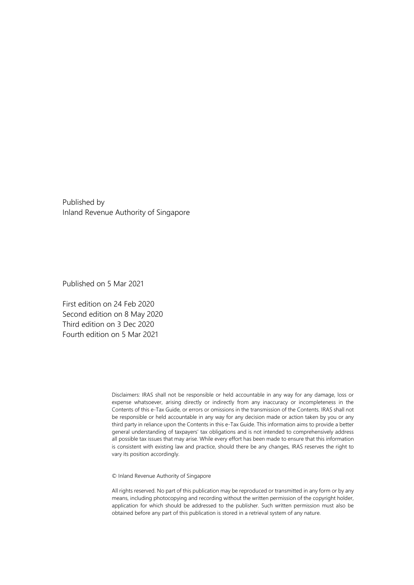Published by Inland Revenue Authority of Singapore

Published on 5 Mar 2021

First edition on 24 Feb 2020 Second edition on 8 May 2020 Third edition on 3 Dec 2020 Fourth edition on 5 Mar 2021

> Disclaimers: IRAS shall not be responsible or held accountable in any way for any damage, loss or expense whatsoever, arising directly or indirectly from any inaccuracy or incompleteness in the Contents of this e-Tax Guide, or errors or omissions in the transmission of the Contents. IRAS shall not be responsible or held accountable in any way for any decision made or action taken by you or any third party in reliance upon the Contents in this e-Tax Guide. This information aims to provide a better general understanding of taxpayers' tax obligations and is not intended to comprehensively address all possible tax issues that may arise. While every effort has been made to ensure that this information is consistent with existing law and practice, should there be any changes, IRAS reserves the right to vary its position accordingly.

© Inland Revenue Authority of Singapore

All rights reserved. No part of this publication may be reproduced or transmitted in any form or by any means, including photocopying and recording without the written permission of the copyright holder, application for which should be addressed to the publisher. Such written permission must also be obtained before any part of this publication is stored in a retrieval system of any nature.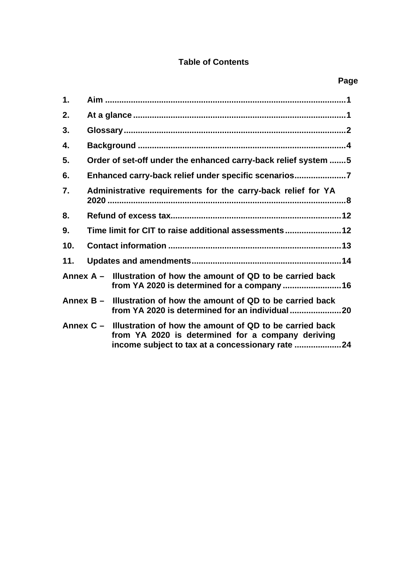### **Table of Contents**

| 1.  |                                                              |                                                                                                                                                                           |  |  |
|-----|--------------------------------------------------------------|---------------------------------------------------------------------------------------------------------------------------------------------------------------------------|--|--|
| 2.  |                                                              |                                                                                                                                                                           |  |  |
| 3.  |                                                              |                                                                                                                                                                           |  |  |
| 4.  |                                                              |                                                                                                                                                                           |  |  |
| 5.  |                                                              | Order of set-off under the enhanced carry-back relief system 5                                                                                                            |  |  |
| 6.  |                                                              | Enhanced carry-back relief under specific scenarios7                                                                                                                      |  |  |
| 7.  | Administrative requirements for the carry-back relief for YA |                                                                                                                                                                           |  |  |
| 8.  |                                                              |                                                                                                                                                                           |  |  |
| 9.  |                                                              |                                                                                                                                                                           |  |  |
| 10. |                                                              |                                                                                                                                                                           |  |  |
| 11. |                                                              |                                                                                                                                                                           |  |  |
|     |                                                              | Annex $A -$ Illustration of how the amount of QD to be carried back                                                                                                       |  |  |
|     |                                                              | Annex B – Illustration of how the amount of QD to be carried back                                                                                                         |  |  |
|     |                                                              | Annex $C -$ Illustration of how the amount of QD to be carried back<br>from YA 2020 is determined for a company deriving<br>income subject to tax at a concessionary rate |  |  |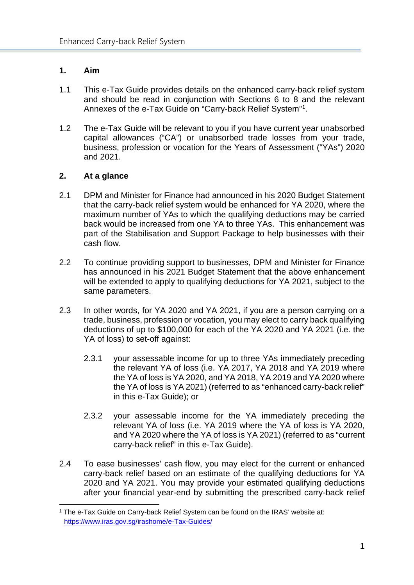#### <span id="page-3-0"></span>**1. Aim**

- 1.1 This e-Tax Guide provides details on the enhanced carry-back relief system and should be read in conjunction with Sections 6 to 8 and the relevant Annexes of the e-Tax Guide on "Carry-back Relief System["1.](#page-3-2)
- 1.2 The e-Tax Guide will be relevant to you if you have current year unabsorbed capital allowances ("CA") or unabsorbed trade losses from your trade, business, profession or vocation for the Years of Assessment ("YAs") 2020 and 2021.

#### <span id="page-3-1"></span>**2. At a glance**

- 2.1 DPM and Minister for Finance had announced in his 2020 Budget Statement that the carry-back relief system would be enhanced for YA 2020, where the maximum number of YAs to which the qualifying deductions may be carried back would be increased from one YA to three YAs. This enhancement was part of the Stabilisation and Support Package to help businesses with their cash flow.
- 2.2 To continue providing support to businesses, DPM and Minister for Finance has announced in his 2021 Budget Statement that the above enhancement will be extended to apply to qualifying deductions for YA 2021, subject to the same parameters.
- 2.3 In other words, for YA 2020 and YA 2021, if you are a person carrying on a trade, business, profession or vocation, you may elect to carry back qualifying deductions of up to \$100,000 for each of the YA 2020 and YA 2021 (i.e. the YA of loss) to set-off against:
	- 2.3.1 your assessable income for up to three YAs immediately preceding the relevant YA of loss (i.e. YA 2017, YA 2018 and YA 2019 where the YA of loss is YA 2020, and YA 2018, YA 2019 and YA 2020 where the YA of loss is YA 2021) (referred to as "enhanced carry-back relief" in this e-Tax Guide); or
	- 2.3.2 your assessable income for the YA immediately preceding the relevant YA of loss (i.e. YA 2019 where the YA of loss is YA 2020, and YA 2020 where the YA of loss is YA 2021) (referred to as "current carry-back relief" in this e-Tax Guide).
- 2.4 To ease businesses' cash flow, you may elect for the current or enhanced carry-back relief based on an estimate of the qualifying deductions for YA 2020 and YA 2021. You may provide your estimated qualifying deductions after your financial year-end by submitting the prescribed carry-back relief

<span id="page-3-2"></span><sup>&</sup>lt;sup>1</sup> The e-Tax Guide on Carry-back Relief System can be found on the IRAS' website at: <https://www.iras.gov.sg/irashome/e-Tax-Guides/>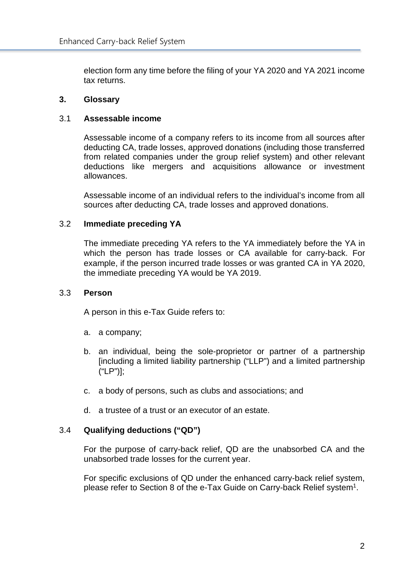election form any time before the filing of your YA 2020 and YA 2021 income tax returns.

#### <span id="page-4-0"></span>**3. Glossary**

#### 3.1 **Assessable income**

Assessable income of a company refers to its income from all sources after deducting CA, trade losses, approved donations (including those transferred from related companies under the group relief system) and other relevant deductions like mergers and acquisitions allowance or investment allowances.

Assessable income of an individual refers to the individual's income from all sources after deducting CA, trade losses and approved donations.

#### 3.2 **Immediate preceding YA**

The immediate preceding YA refers to the YA immediately before the YA in which the person has trade losses or CA available for carry-back. For example, if the person incurred trade losses or was granted CA in YA 2020, the immediate preceding YA would be YA 2019.

#### 3.3 **Person**

A person in this e-Tax Guide refers to:

- a. a company;
- b. an individual, being the sole-proprietor or partner of a partnership [including a limited liability partnership ("LLP") and a limited partnership ("LP")];
- c. a body of persons, such as clubs and associations; and
- d. a trustee of a trust or an executor of an estate.

#### 3.4 **Qualifying deductions ("QD")**

For the purpose of carry-back relief, QD are the unabsorbed CA and the unabsorbed trade losses for the current year.

For specific exclusions of QD under the enhanced carry-back relief system, please refer to Section 8 of the e-Tax Guide on Carry-back Relief system<sup>1</sup>.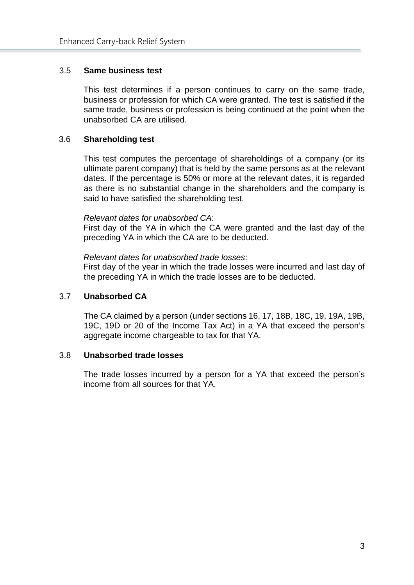#### 3.5 **Same business test**

This test determines if a person continues to carry on the same trade, business or profession for which CA were granted. The test is satisfied if the same trade, business or profession is being continued at the point when the unabsorbed CA are utilised.

#### 3.6 **Shareholding test**

This test computes the percentage of shareholdings of a company (or its ultimate parent company) that is held by the same persons as at the relevant dates. If the percentage is 50% or more at the relevant dates, it is regarded as there is no substantial change in the shareholders and the company is said to have satisfied the shareholding test.

#### *Relevant dates for unabsorbed CA*:

First day of the YA in which the CA were granted and the last day of the preceding YA in which the CA are to be deducted.

#### *Relevant dates for unabsorbed trade losses*:

First day of the year in which the trade losses were incurred and last day of the preceding YA in which the trade losses are to be deducted.

#### 3.7 **Unabsorbed CA**

The CA claimed by a person (under sections 16, 17, 18B, 18C, 19, 19A, 19B, 19C, 19D or 20 of the Income Tax Act) in a YA that exceed the person's aggregate income chargeable to tax for that YA.

#### 3.8 **Unabsorbed trade losses**

The trade losses incurred by a person for a YA that exceed the person's income from all sources for that YA.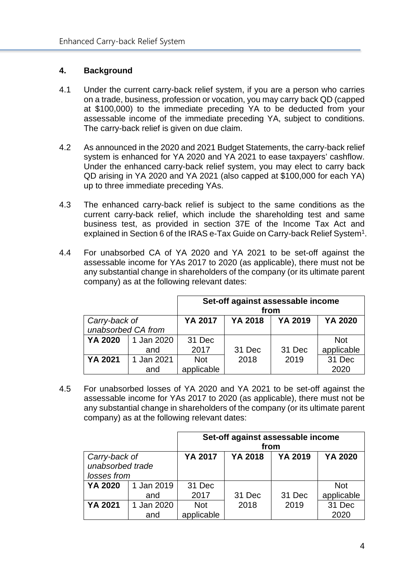#### <span id="page-6-0"></span>**4. Background**

- 4.1 Under the current carry-back relief system, if you are a person who carries on a trade, business, profession or vocation, you may carry back QD (capped at \$100,000) to the immediate preceding YA to be deducted from your assessable income of the immediate preceding YA, subject to conditions. The carry-back relief is given on due claim.
- 4.2 As announced in the 2020 and 2021 Budget Statements, the carry-back relief system is enhanced for YA 2020 and YA 2021 to ease taxpayers' cashflow. Under the enhanced carry-back relief system, you may elect to carry back QD arising in YA 2020 and YA 2021 (also capped at \$100,000 for each YA) up to three immediate preceding YAs.
- 4.3 The enhanced carry-back relief is subject to the same conditions as the current carry-back relief, which include the shareholding test and same business test, as provided in section 37E of the Income Tax Act and explained in Section 6 of the IRAS e-Tax Guide on Carry-back Relief System<sup>1</sup>.
- 4.4 For unabsorbed CA of YA 2020 and YA 2021 to be set-off against the assessable income for YAs 2017 to 2020 (as applicable), there must not be any substantial change in shareholders of the company (or its ultimate parent company) as at the following relevant dates:

|                    |            | Set-off against assessable income<br>from |         |         |                |
|--------------------|------------|-------------------------------------------|---------|---------|----------------|
| Carry-back of      |            | <b>YA 2017</b>                            | YA 2018 | YA 2019 | <b>YA 2020</b> |
| unabsorbed CA from |            |                                           |         |         |                |
| YA 2020            | 1 Jan 2020 | 31 Dec                                    |         |         | <b>Not</b>     |
|                    | and        | 2017                                      | 31 Dec  | 31 Dec  | applicable     |
| <b>YA 2021</b>     | 1 Jan 2021 | <b>Not</b>                                | 2018    | 2019    | 31 Dec         |
|                    | and        | applicable                                |         |         | 2020           |

4.5 For unabsorbed losses of YA 2020 and YA 2021 to be set-off against the assessable income for YAs 2017 to 2020 (as applicable), there must not be any substantial change in shareholders of the company (or its ultimate parent company) as at the following relevant dates:

|                  |            |            | Set-off against assessable income |         |                |
|------------------|------------|------------|-----------------------------------|---------|----------------|
|                  |            |            | from                              |         |                |
| Carry-back of    |            | YA 2017    | <b>YA 2018</b>                    | YA 2019 | <b>YA 2020</b> |
| unabsorbed trade |            |            |                                   |         |                |
| losses from      |            |            |                                   |         |                |
| <b>YA 2020</b>   | 1 Jan 2019 | 31 Dec     |                                   |         | <b>Not</b>     |
|                  | and        | 2017       | 31 Dec                            | 31 Dec  | applicable     |
| <b>YA 2021</b>   | 1 Jan 2020 | <b>Not</b> | 2018                              | 2019    | 31 Dec         |
|                  | and        | applicable |                                   |         | 2020           |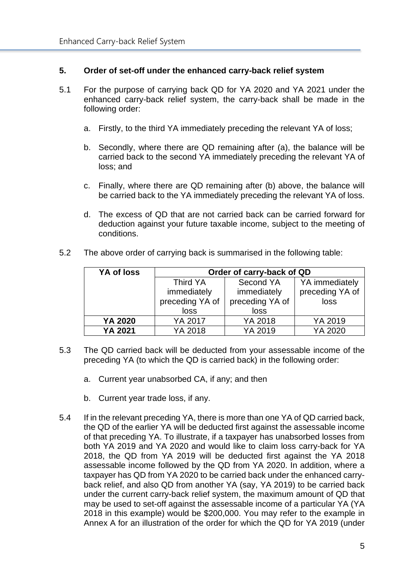#### <span id="page-7-0"></span>**5. Order of set-off under the enhanced carry-back relief system**

- 5.1 For the purpose of carrying back QD for YA 2020 and YA 2021 under the enhanced carry-back relief system, the carry-back shall be made in the following order:
	- a. Firstly, to the third YA immediately preceding the relevant YA of loss;
	- b. Secondly, where there are QD remaining after (a), the balance will be carried back to the second YA immediately preceding the relevant YA of loss; and
	- c. Finally, where there are QD remaining after (b) above, the balance will be carried back to the YA immediately preceding the relevant YA of loss.
	- d. The excess of QD that are not carried back can be carried forward for deduction against your future taxable income, subject to the meeting of conditions.
- 5.2 The above order of carrying back is summarised in the following table:

| YA of loss | Order of carry-back of QD |                 |                 |  |
|------------|---------------------------|-----------------|-----------------|--|
|            | Third YA                  | Second YA       | YA immediately  |  |
|            | immediately               | immediately     | preceding YA of |  |
|            | preceding YA of           | preceding YA of | loss            |  |
|            | loss                      | loss            |                 |  |
| YA 2020    | YA 2017                   | YA 2018         | YA 2019         |  |
| YA 2021    | YA 2018                   | YA 2019         | YA 2020         |  |

- 5.3 The QD carried back will be deducted from your assessable income of the preceding YA (to which the QD is carried back) in the following order:
	- a. Current year unabsorbed CA, if any; and then
	- b. Current year trade loss, if any.
- 5.4 If in the relevant preceding YA, there is more than one YA of QD carried back, the QD of the earlier YA will be deducted first against the assessable income of that preceding YA. To illustrate, if a taxpayer has unabsorbed losses from both YA 2019 and YA 2020 and would like to claim loss carry-back for YA 2018, the QD from YA 2019 will be deducted first against the YA 2018 assessable income followed by the QD from YA 2020. In addition, where a taxpayer has QD from YA 2020 to be carried back under the enhanced carryback relief, and also QD from another YA (say, YA 2019) to be carried back under the current carry-back relief system, the maximum amount of QD that may be used to set-off against the assessable income of a particular YA (YA 2018 in this example) would be \$200,000. You may refer to the example in Annex A for an illustration of the order for which the QD for YA 2019 (under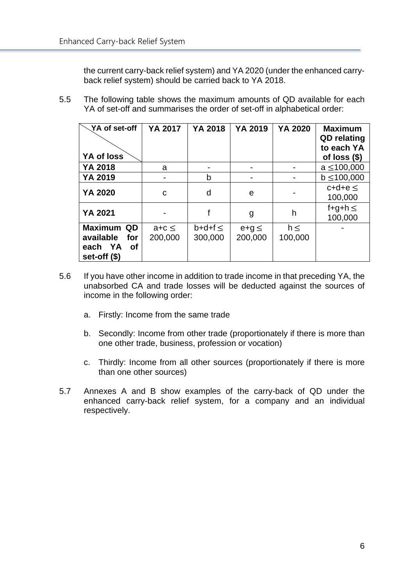the current carry-back relief system) and YA 2020 (under the enhanced carryback relief system) should be carried back to YA 2018.

5.5 The following table shows the maximum amounts of QD available for each YA of set-off and summarises the order of set-off in alphabetical order:

| YA of set-off<br>YA of loss                                                | <b>YA 2017</b>        | <b>YA 2018</b>         | YA 2019               | <b>YA 2020</b>      | <b>Maximum</b><br><b>QD</b> relating<br>to each YA<br>of loss $(\$)$ |
|----------------------------------------------------------------------------|-----------------------|------------------------|-----------------------|---------------------|----------------------------------------------------------------------|
| YA 2018                                                                    | a                     |                        |                       |                     | $a \le 100,000$                                                      |
| YA 2019                                                                    |                       | b                      |                       |                     | $b \le 100,000$                                                      |
| <b>YA 2020</b>                                                             | C                     | d                      | e                     |                     | $c+d+e <$<br>100,000                                                 |
| <b>YA 2021</b>                                                             |                       |                        | g                     | h                   | f+g+h $\leq$<br>100,000                                              |
| <b>Maximum</b><br>QD.<br>available<br>for<br>each YA<br>Οf<br>set-off (\$) | $a+c \leq$<br>200,000 | $b+df \leq$<br>300,000 | $e+g \leq$<br>200,000 | $h \leq$<br>100,000 |                                                                      |

- 5.6 If you have other income in addition to trade income in that preceding YA, the unabsorbed CA and trade losses will be deducted against the sources of income in the following order:
	- a. Firstly: Income from the same trade
	- b. Secondly: Income from other trade (proportionately if there is more than one other trade, business, profession or vocation)
	- c. Thirdly: Income from all other sources (proportionately if there is more than one other sources)
- <span id="page-8-0"></span>5.7 Annexes A and B show examples of the carry-back of QD under the enhanced carry-back relief system, for a company and an individual respectively.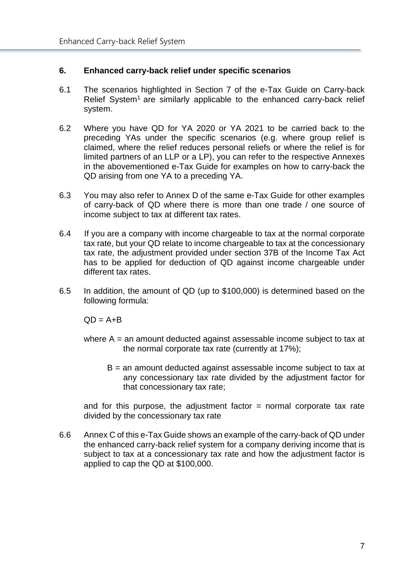#### **6. Enhanced carry-back relief under specific scenarios**

- 6.1 The scenarios highlighted in Section 7 of the e-Tax Guide on Carry-back Relief System<sup>1</sup> are similarly applicable to the enhanced carry-back relief system.
- 6.2 Where you have QD for YA 2020 or YA 2021 to be carried back to the preceding YAs under the specific scenarios (e.g. where group relief is claimed, where the relief reduces personal reliefs or where the relief is for limited partners of an LLP or a LP), you can refer to the respective Annexes in the abovementioned e-Tax Guide for examples on how to carry-back the QD arising from one YA to a preceding YA.
- 6.3 You may also refer to Annex D of the same e-Tax Guide for other examples of carry-back of QD where there is more than one trade / one source of income subject to tax at different tax rates.
- 6.4 If you are a company with income chargeable to tax at the normal corporate tax rate, but your QD relate to income chargeable to tax at the concessionary tax rate, the adjustment provided under section 37B of the Income Tax Act has to be applied for deduction of QD against income chargeable under different tax rates.
- 6.5 In addition, the amount of QD (up to \$100,000) is determined based on the following formula:

 $QD = A + B$ 

- where  $A =$  an amount deducted against assessable income subject to tax at the normal corporate tax rate (currently at 17%);
	- B = an amount deducted against assessable income subject to tax at any concessionary tax rate divided by the adjustment factor for that concessionary tax rate;

and for this purpose, the adjustment factor  $=$  normal corporate tax rate divided by the concessionary tax rate

<span id="page-9-0"></span>6.6 Annex C of this e-Tax Guide shows an example of the carry-back of QD under the enhanced carry-back relief system for a company deriving income that is subject to tax at a concessionary tax rate and how the adjustment factor is applied to cap the QD at \$100,000.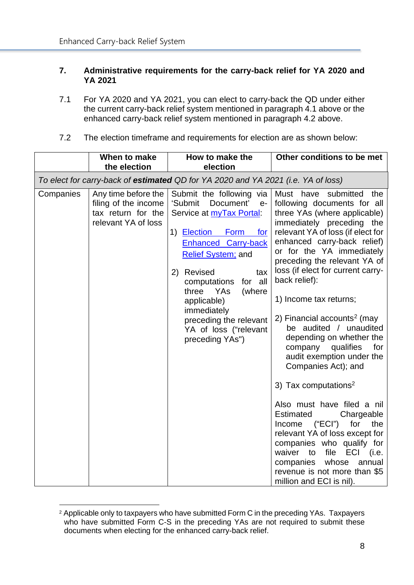#### **7. Administrative requirements for the carry-back relief for YA 2020 and YA 2021**

- 7.1 For YA 2020 and YA 2021, you can elect to carry-back the QD under either the current carry-back relief system mentioned in paragraph 4.1 above or the enhanced carry-back relief system mentioned in paragraph 4.2 above.
- 7.2 The election timeframe and requirements for election are as shown below:

|           | When to make<br>the election                                                             | How to make the<br>election                                                                                                                                                                                                                                                                                                                                               | Other conditions to be met                                                                                                                                                                                                                                                                                                                                                                                                                                                                                                                                                                                                                                                                                                                                                                                                                                      |
|-----------|------------------------------------------------------------------------------------------|---------------------------------------------------------------------------------------------------------------------------------------------------------------------------------------------------------------------------------------------------------------------------------------------------------------------------------------------------------------------------|-----------------------------------------------------------------------------------------------------------------------------------------------------------------------------------------------------------------------------------------------------------------------------------------------------------------------------------------------------------------------------------------------------------------------------------------------------------------------------------------------------------------------------------------------------------------------------------------------------------------------------------------------------------------------------------------------------------------------------------------------------------------------------------------------------------------------------------------------------------------|
|           |                                                                                          | To elect for carry-back of estimated QD for YA 2020 and YA 2021 (i.e. YA of loss)                                                                                                                                                                                                                                                                                         |                                                                                                                                                                                                                                                                                                                                                                                                                                                                                                                                                                                                                                                                                                                                                                                                                                                                 |
| Companies | Any time before the<br>filing of the income<br>tax return for the<br>relevant YA of loss | Submit the following via<br>Document'<br>'Submit<br>$e-$<br>Service at <b>myTax Portal:</b><br>1) Election<br>Form<br><u>for</u><br><b>Enhanced Carry-back</b><br><b>Relief System; and</b><br>2) Revised<br>tax<br>for all<br>computations<br>three<br>YAs<br>(where<br>applicable)<br>immediately<br>preceding the relevant<br>YA of loss ("relevant<br>preceding YAs") | Must have submitted the<br>following documents for all<br>three YAs (where applicable)<br>immediately preceding the<br>relevant YA of loss (if elect for<br>enhanced carry-back relief)<br>or for the YA immediately<br>preceding the relevant YA of<br>loss (if elect for current carry-<br>back relief):<br>1) Income tax returns;<br>2) Financial accounts <sup>2</sup> (may<br>be audited / unaudited<br>depending on whether the<br>qualifies<br>company<br>for<br>audit exemption under the<br>Companies Act); and<br>3) Tax computations <sup>2</sup><br>Also must have filed a nil<br><b>Estimated</b><br>Chargeable<br>("ECI")<br>for<br>the<br>Income<br>relevant YA of loss except for<br>companies who qualify for<br>waiver to<br>file<br>ECI<br>(i.e.<br>whose<br>companies<br>annual<br>revenue is not more than \$5<br>million and ECI is nil). |

<span id="page-10-0"></span><sup>&</sup>lt;sup>2</sup> Applicable only to taxpayers who have submitted Form C in the preceding YAs. Taxpayers who have submitted Form C-S in the preceding YAs are not required to submit these documents when electing for the enhanced carry-back relief.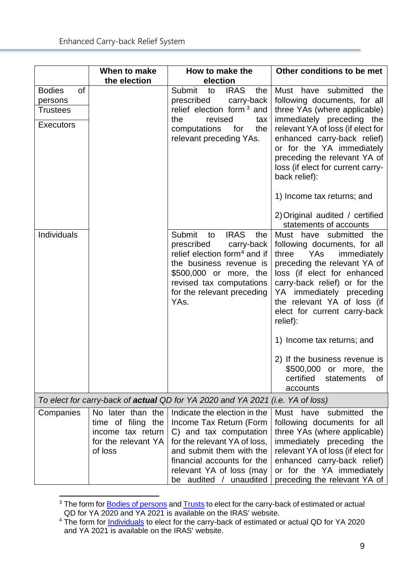|                     | When to make                                                                                   | How to make the                                                                                                                                                                                                                   | Other conditions to be met                                                                                                                                                                                                                                                                                                                                                                                                                 |  |  |  |
|---------------------|------------------------------------------------------------------------------------------------|-----------------------------------------------------------------------------------------------------------------------------------------------------------------------------------------------------------------------------------|--------------------------------------------------------------------------------------------------------------------------------------------------------------------------------------------------------------------------------------------------------------------------------------------------------------------------------------------------------------------------------------------------------------------------------------------|--|--|--|
|                     | the election                                                                                   | election                                                                                                                                                                                                                          |                                                                                                                                                                                                                                                                                                                                                                                                                                            |  |  |  |
| <b>Bodies</b><br>of |                                                                                                | Submit to<br><b>IRAS</b><br>the                                                                                                                                                                                                   | Must have submitted the                                                                                                                                                                                                                                                                                                                                                                                                                    |  |  |  |
| persons             |                                                                                                | prescribed<br>carry-back                                                                                                                                                                                                          | following documents, for all                                                                                                                                                                                                                                                                                                                                                                                                               |  |  |  |
| <b>Trustees</b>     |                                                                                                | relief election form <sup>3</sup> and<br>revised<br>the<br>tax                                                                                                                                                                    | three YAs (where applicable)<br>immediately preceding the                                                                                                                                                                                                                                                                                                                                                                                  |  |  |  |
| <b>Executors</b>    |                                                                                                | computations<br>for<br>the<br>relevant preceding YAs.                                                                                                                                                                             | relevant YA of loss (if elect for<br>enhanced carry-back relief)<br>or for the YA immediately<br>preceding the relevant YA of<br>loss (if elect for current carry-<br>back relief):                                                                                                                                                                                                                                                        |  |  |  |
|                     |                                                                                                |                                                                                                                                                                                                                                   | 1) Income tax returns; and                                                                                                                                                                                                                                                                                                                                                                                                                 |  |  |  |
|                     |                                                                                                |                                                                                                                                                                                                                                   | 2) Original audited / certified<br>statements of accounts                                                                                                                                                                                                                                                                                                                                                                                  |  |  |  |
| Individuals         |                                                                                                | Submit<br><b>IRAS</b><br>to<br>the<br>prescribed<br>carry-back<br>relief election form <sup>4</sup> and if<br>the business revenue is<br>\$500,000 or more, the<br>revised tax computations<br>for the relevant preceding<br>YAs. | Must have submitted the<br>following documents, for all<br><b>YAs</b><br>three<br>immediately<br>preceding the relevant YA of<br>loss (if elect for enhanced<br>carry-back relief) or for the<br>YA immediately preceding<br>the relevant YA of loss (if<br>elect for current carry-back<br>relief):<br>1) Income tax returns; and<br>2) If the business revenue is<br>\$500,000 or more, the<br>certified<br>statements<br>of<br>accounts |  |  |  |
|                     | To elect for carry-back of <b>actual</b> QD for YA 2020 and YA 2021 (i.e. YA of loss)          |                                                                                                                                                                                                                                   |                                                                                                                                                                                                                                                                                                                                                                                                                                            |  |  |  |
| Companies           | No later than the<br>time of filing the<br>income tax return<br>for the relevant YA<br>of loss | Indicate the election in the<br>Income Tax Return (Form<br>C) and tax computation<br>for the relevant YA of loss,<br>and submit them with the<br>financial accounts for the<br>relevant YA of loss (may<br>be audited / unaudited | Must have submitted<br>the<br>following documents for all<br>three YAs (where applicable)<br>immediately preceding<br>the<br>relevant YA of loss (if elect for<br>enhanced carry-back relief)<br>or for the YA immediately<br>preceding the relevant YA of                                                                                                                                                                                 |  |  |  |

<span id="page-11-0"></span><sup>&</sup>lt;sup>3</sup> The form for <u>Bodies of persons</u> an[d Trusts](https://www.iras.gov.sg/irashome/Quick-Links/Forms/Other-taxes-and-services/Trust/) to elect for the carry-back of estimated or actual QD for YA 2020 and YA 2021 is available on the IRAS' website.

<span id="page-11-1"></span><sup>&</sup>lt;sup>4</sup> The form for **Individuals** to elect for the carry-back of estimated or actual QD for YA 2020 and YA 2021 is available on the IRAS' website.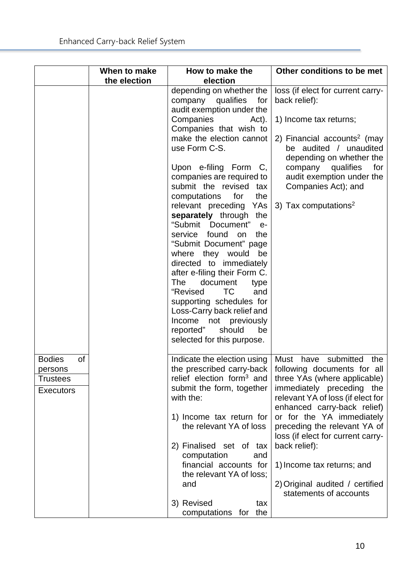|                                                                       | When to make<br>the election | How to make the<br>election                                                                                                                                                                                                                                                                                                                                                                                                                                                                                                                                                                                                                                                                                                       | Other conditions to be met                                                                                                                                                                                                                                                                                                                                                                               |
|-----------------------------------------------------------------------|------------------------------|-----------------------------------------------------------------------------------------------------------------------------------------------------------------------------------------------------------------------------------------------------------------------------------------------------------------------------------------------------------------------------------------------------------------------------------------------------------------------------------------------------------------------------------------------------------------------------------------------------------------------------------------------------------------------------------------------------------------------------------|----------------------------------------------------------------------------------------------------------------------------------------------------------------------------------------------------------------------------------------------------------------------------------------------------------------------------------------------------------------------------------------------------------|
|                                                                       |                              | depending on whether the<br>company qualifies<br>for<br>audit exemption under the<br>Companies<br>Act).<br>Companies that wish to<br>make the election cannot<br>use Form C-S.<br>Upon e-filing Form C,<br>companies are required to<br>submit the revised tax<br>computations<br>for<br>the<br>relevant preceding YAs<br>separately through the<br>"Submit Document"<br>$e-$<br>service found on<br>the<br>"Submit Document" page<br>where they would<br>be<br>directed to immediately<br>after e-filing their Form C.<br><b>The</b><br>document<br>type<br>"Revised<br>TC.<br>and<br>supporting schedules for<br>Loss-Carry back relief and<br>Income not previously<br>reported"<br>should<br>be<br>selected for this purpose. | loss (if elect for current carry-<br>back relief):<br>1) Income tax returns;<br>2) Financial accounts <sup>2</sup> (may<br>be audited / unaudited<br>depending on whether the<br>company qualifies<br>for<br>audit exemption under the<br>Companies Act); and<br>3) Tax computations <sup>2</sup>                                                                                                        |
| <b>Bodies</b><br>οf<br>persons<br><b>Trustees</b><br><b>Executors</b> |                              | Indicate the election using<br>the prescribed carry-back  <br>relief election form <sup>3</sup> and<br>submit the form, together<br>with the:<br>1) Income tax return for<br>the relevant YA of loss<br>2) Finalised set of tax<br>computation<br>and<br>financial accounts for<br>the relevant YA of loss;<br>and<br>3) Revised<br>tax<br>computations for the                                                                                                                                                                                                                                                                                                                                                                   | Must have submitted<br>the<br>following documents for all<br>three YAs (where applicable)<br>immediately preceding the<br>relevant YA of loss (if elect for<br>enhanced carry-back relief)<br>or for the YA immediately<br>preceding the relevant YA of<br>loss (if elect for current carry-<br>back relief):<br>1) Income tax returns; and<br>2) Original audited / certified<br>statements of accounts |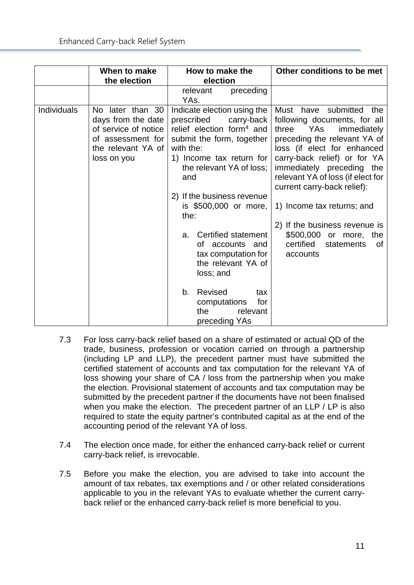|             | When to make                                                                                                             | How to make the                                                                                                                                                                                                                                                                                                                                                                                                                   | Other conditions to be met                                                                                                                                                                                                                                                                                                                                                                                                    |
|-------------|--------------------------------------------------------------------------------------------------------------------------|-----------------------------------------------------------------------------------------------------------------------------------------------------------------------------------------------------------------------------------------------------------------------------------------------------------------------------------------------------------------------------------------------------------------------------------|-------------------------------------------------------------------------------------------------------------------------------------------------------------------------------------------------------------------------------------------------------------------------------------------------------------------------------------------------------------------------------------------------------------------------------|
|             | the election                                                                                                             | election                                                                                                                                                                                                                                                                                                                                                                                                                          |                                                                                                                                                                                                                                                                                                                                                                                                                               |
|             |                                                                                                                          | relevant<br>preceding<br>YAs.                                                                                                                                                                                                                                                                                                                                                                                                     |                                                                                                                                                                                                                                                                                                                                                                                                                               |
| Individuals | No later than 30<br>days from the date<br>of service of notice<br>of assessment for<br>the relevant YA of<br>loss on you | Indicate election using the<br>prescribed<br>carry-back<br>relief election form <sup>4</sup> and<br>submit the form, together<br>with the:<br>1) Income tax return for<br>the relevant YA of loss;<br>and<br>2) If the business revenue<br>is \$500,000 or more,<br>the:<br>Certified statement<br>a.<br>of accounts and<br>tax computation for<br>the relevant YA of<br>loss; and<br>Revised<br>b.<br>tax<br>for<br>computations | Must have submitted<br>the<br>following documents, for all<br>three YAs<br>immediately<br>preceding the relevant YA of<br>loss (if elect for enhanced<br>carry-back relief) or for YA<br>immediately preceding the<br>relevant YA of loss (if elect for<br>current carry-back relief):<br>1) Income tax returns; and<br>2) If the business revenue is<br>\$500,000 or more, the<br>certified<br>statements<br>of.<br>accounts |
|             |                                                                                                                          | relevant<br>the<br>preceding YAs                                                                                                                                                                                                                                                                                                                                                                                                  |                                                                                                                                                                                                                                                                                                                                                                                                                               |

- 7.3 For loss carry-back relief based on a share of estimated or actual QD of the trade, business, profession or vocation carried on through a partnership (including LP and LLP), the precedent partner must have submitted the certified statement of accounts and tax computation for the relevant YA of loss showing your share of CA / loss from the partnership when you make the election. Provisional statement of accounts and tax computation may be submitted by the precedent partner if the documents have not been finalised when you make the election. The precedent partner of an LLP / LP is also required to state the equity partner's contributed capital as at the end of the accounting period of the relevant YA of loss.
- 7.4 The election once made, for either the enhanced carry-back relief or current carry-back relief, is irrevocable.
- 7.5 Before you make the election, you are advised to take into account the amount of tax rebates, tax exemptions and / or other related considerations applicable to you in the relevant YAs to evaluate whether the current carryback relief or the enhanced carry-back relief is more beneficial to you.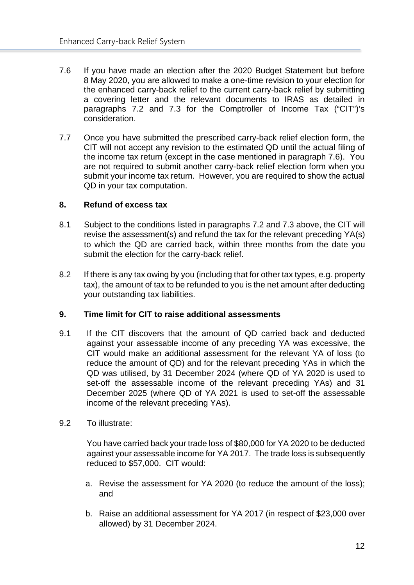- 7.6 If you have made an election after the 2020 Budget Statement but before 8 May 2020, you are allowed to make a one-time revision to your election for the enhanced carry-back relief to the current carry-back relief by submitting a covering letter and the relevant documents to IRAS as detailed in paragraphs 7.2 and 7.3 for the Comptroller of Income Tax ("CIT")'s consideration.
- 7.7 Once you have submitted the prescribed carry-back relief election form, the CIT will not accept any revision to the estimated QD until the actual filing of the income tax return (except in the case mentioned in paragraph 7.6). You are not required to submit another carry-back relief election form when you submit your income tax return. However, you are required to show the actual QD in your tax computation.

#### <span id="page-14-0"></span>**8. Refund of excess tax**

- 8.1 Subject to the conditions listed in paragraphs 7.2 and 7.3 above, the CIT will revise the assessment(s) and refund the tax for the relevant preceding YA(s) to which the QD are carried back, within three months from the date you submit the election for the carry-back relief.
- 8.2 If there is any tax owing by you (including that for other tax types, e.g. property tax), the amount of tax to be refunded to you is the net amount after deducting your outstanding tax liabilities.

#### <span id="page-14-1"></span>**9. Time limit for CIT to raise additional assessments**

- 9.1 If the CIT discovers that the amount of QD carried back and deducted against your assessable income of any preceding YA was excessive, the CIT would make an additional assessment for the relevant YA of loss (to reduce the amount of QD) and for the relevant preceding YAs in which the QD was utilised, by 31 December 2024 (where QD of YA 2020 is used to set-off the assessable income of the relevant preceding YAs) and 31 December 2025 (where QD of YA 2021 is used to set-off the assessable income of the relevant preceding YAs).
- 9.2 To illustrate:

You have carried back your trade loss of \$80,000 for YA 2020 to be deducted against your assessable income for YA 2017. The trade loss is subsequently reduced to \$57,000. CIT would:

- a. Revise the assessment for YA 2020 (to reduce the amount of the loss); and
- b. Raise an additional assessment for YA 2017 (in respect of \$23,000 over allowed) by 31 December 2024.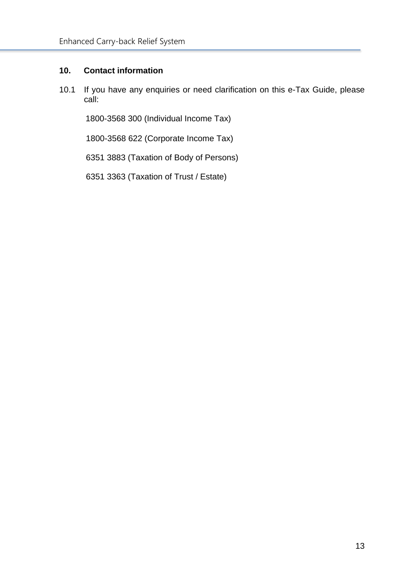## <span id="page-15-0"></span>**10. Contact information**

10.1 If you have any enquiries or need clarification on this e-Tax Guide, please call:

1800-3568 300 (Individual Income Tax)

1800-3568 622 (Corporate Income Tax)

6351 3883 (Taxation of Body of Persons)

6351 3363 (Taxation of Trust / Estate)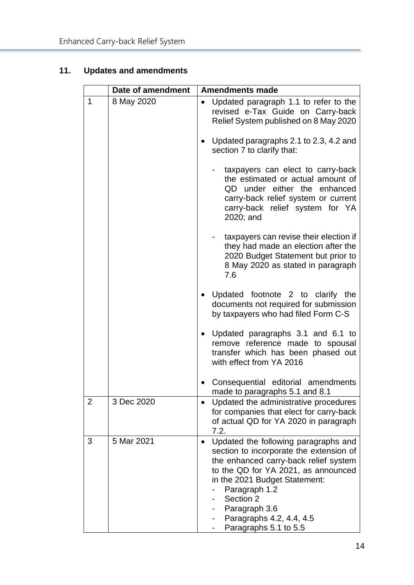# <span id="page-16-0"></span>**11. Updates and amendments**

|                | Date of amendment |           | <b>Amendments made</b>                                                                                                                                                                                                                                                                               |
|----------------|-------------------|-----------|------------------------------------------------------------------------------------------------------------------------------------------------------------------------------------------------------------------------------------------------------------------------------------------------------|
| 1              | 8 May 2020        | ٠         | Updated paragraph 1.1 to refer to the<br>revised e-Tax Guide on Carry-back<br>Relief System published on 8 May 2020                                                                                                                                                                                  |
|                |                   |           | Updated paragraphs 2.1 to 2.3, 4.2 and<br>section 7 to clarify that:                                                                                                                                                                                                                                 |
|                |                   |           | taxpayers can elect to carry-back<br>the estimated or actual amount of<br>QD under either the enhanced<br>carry-back relief system or current<br>carry-back relief system for YA<br>2020; and                                                                                                        |
|                |                   |           | taxpayers can revise their election if<br>they had made an election after the<br>2020 Budget Statement but prior to<br>8 May 2020 as stated in paragraph<br>7.6                                                                                                                                      |
|                |                   |           | Updated footnote 2 to clarify the<br>documents not required for submission<br>by taxpayers who had filed Form C-S                                                                                                                                                                                    |
|                |                   |           | Updated paragraphs 3.1 and 6.1 to<br>remove reference made to spousal<br>transfer which has been phased out<br>with effect from YA 2016                                                                                                                                                              |
|                |                   |           | Consequential editorial amendments<br>made to paragraphs 5.1 and 8.1                                                                                                                                                                                                                                 |
| $\overline{2}$ | 3 Dec 2020        | $\bullet$ | Updated the administrative procedures<br>for companies that elect for carry-back<br>of actual QD for YA 2020 in paragraph<br>7.2.                                                                                                                                                                    |
| 3              | 5 Mar 2021        |           | Updated the following paragraphs and<br>section to incorporate the extension of<br>the enhanced carry-back relief system<br>to the QD for YA 2021, as announced<br>in the 2021 Budget Statement:<br>Paragraph 1.2<br>Section 2<br>Paragraph 3.6<br>Paragraphs 4.2, 4.4, 4.5<br>Paragraphs 5.1 to 5.5 |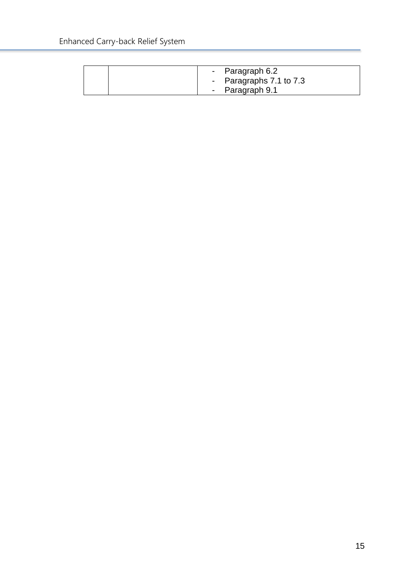| - Paragraph 6.2         |
|-------------------------|
| - Paragraphs 7.1 to 7.3 |
| - Paragraph 9.1         |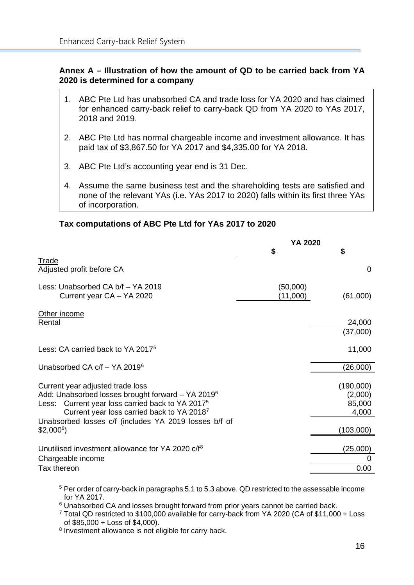#### <span id="page-18-0"></span>**Annex A – Illustration of how the amount of QD to be carried back from YA 2020 is determined for a company**

- 1. ABC Pte Ltd has unabsorbed CA and trade loss for YA 2020 and has claimed for enhanced carry-back relief to carry-back QD from YA 2020 to YAs 2017, 2018 and 2019.
- 2. ABC Pte Ltd has normal chargeable income and investment allowance. It has paid tax of \$3,867.50 for YA 2017 and \$4,335.00 for YA 2018.
- 3. ABC Pte Ltd's accounting year end is 31 Dec.
- 4. Assume the same business test and the shareholding tests are satisfied and none of the relevant YAs (i.e. YAs 2017 to 2020) falls within its first three YAs of incorporation.

#### **Tax computations of ABC Pte Ltd for YAs 2017 to 2020**

|                                                                                                                                                                                                                 | <b>YA 2020</b>       |                                         |  |
|-----------------------------------------------------------------------------------------------------------------------------------------------------------------------------------------------------------------|----------------------|-----------------------------------------|--|
|                                                                                                                                                                                                                 | \$                   | \$                                      |  |
| <b>Trade</b><br>Adjusted profit before CA                                                                                                                                                                       |                      | $\Omega$                                |  |
| Less: Unabsorbed CA b/f - YA 2019<br>Current year CA - YA 2020                                                                                                                                                  | (50,000)<br>(11,000) | (61,000)                                |  |
| Other income<br>Rental                                                                                                                                                                                          |                      | 24,000                                  |  |
|                                                                                                                                                                                                                 |                      | (37,000)                                |  |
| Less: CA carried back to YA 2017 <sup>5</sup>                                                                                                                                                                   |                      | 11,000                                  |  |
| Unabsorbed CA c/f - YA 2019 <sup>6</sup>                                                                                                                                                                        |                      | (26,000)                                |  |
| Current year adjusted trade loss<br>Add: Unabsorbed losses brought forward - YA 2019 <sup>6</sup><br>Less: Current year loss carried back to YA 2017 <sup>5</sup><br>Current year loss carried back to YA 20187 |                      | (190,000)<br>(2,000)<br>85,000<br>4,000 |  |
| Unabsorbed losses c/f (includes YA 2019 losses b/f of<br>$$2,000^6$$                                                                                                                                            |                      | (103,000)                               |  |
| Unutilised investment allowance for YA 2020 c/f <sup>8</sup>                                                                                                                                                    |                      | (25,000)                                |  |
| Chargeable income                                                                                                                                                                                               |                      |                                         |  |
| Tax thereon                                                                                                                                                                                                     |                      | 0.00                                    |  |

<span id="page-18-1"></span><sup>5</sup> Per order of carry-back in paragraphs 5.1 to 5.3 above. QD restricted to the assessable income for YA 2017.

<span id="page-18-2"></span><sup>6</sup> Unabsorbed CA and losses brought forward from prior years cannot be carried back.

<span id="page-18-4"></span><sup>8</sup> Investment allowance is not eligible for carry back.

<span id="page-18-3"></span><sup>7</sup> Total QD restricted to \$100,000 available for carry-back from YA 2020 (CA of \$11,000 + Loss of \$85,000 + Loss of \$4,000).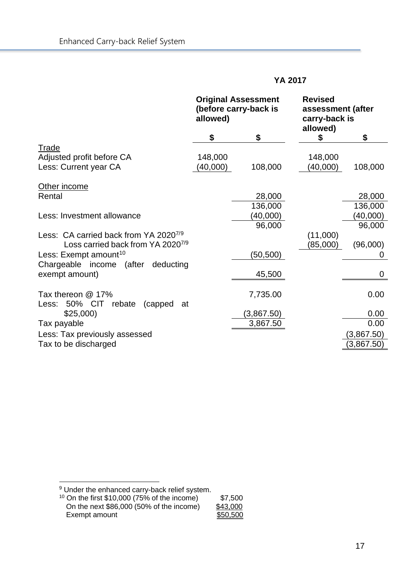|                                               | <b>Original Assessment</b><br>(before carry-back is<br>allowed) |            | <b>Revised</b><br>assessment (after<br>carry-back is<br>allowed) |            |
|-----------------------------------------------|-----------------------------------------------------------------|------------|------------------------------------------------------------------|------------|
|                                               | \$                                                              | \$         | \$                                                               | \$         |
| Trade                                         |                                                                 |            |                                                                  |            |
| Adjusted profit before CA                     | 148,000                                                         |            | 148,000                                                          |            |
| Less: Current year CA                         | (40,000)                                                        | 108,000    | (40,000)                                                         | 108,000    |
| Other income                                  |                                                                 |            |                                                                  |            |
| Rental                                        |                                                                 | 28,000     |                                                                  | 28,000     |
|                                               |                                                                 | 136,000    |                                                                  | 136,000    |
| Less: Investment allowance                    |                                                                 | (40,000)   |                                                                  | (40,000)   |
|                                               |                                                                 | 96,000     |                                                                  | 96,000     |
| Less: CA carried back from YA 20207/9         |                                                                 |            | (11,000)                                                         |            |
| Loss carried back from YA 2020 <sup>7/9</sup> |                                                                 |            | (85,000)                                                         | (96,000)   |
| Less: Exempt amount <sup>10</sup>             |                                                                 | (50, 500)  |                                                                  | $\Omega$   |
| Chargeable income<br>(after<br>deducting      |                                                                 |            |                                                                  |            |
| exempt amount)                                |                                                                 | 45,500     |                                                                  | $\Omega$   |
|                                               |                                                                 |            |                                                                  |            |
| Tax thereon @ 17%                             |                                                                 | 7,735.00   |                                                                  | 0.00       |
| Less: 50% CIT<br>rebate<br>(capped)<br>at     |                                                                 |            |                                                                  |            |
| \$25,000                                      |                                                                 | (3,867.50) |                                                                  | 0.00       |
| Tax payable                                   |                                                                 | 3,867.50   |                                                                  | 0.00       |
| Less: Tax previously assessed                 |                                                                 |            |                                                                  | (3,867.50) |
| Tax to be discharged                          |                                                                 |            |                                                                  | (3,867.50) |

<sup>9</sup> Under the enhanced carry-back relief system.

<span id="page-19-1"></span><span id="page-19-0"></span>

| <sup>10</sup> On the first $$10,000$ (75% of the income) | \$7,500  |
|----------------------------------------------------------|----------|
| On the next \$86,000 (50% of the income)                 | \$43,000 |
| Exempt amount                                            | \$50,500 |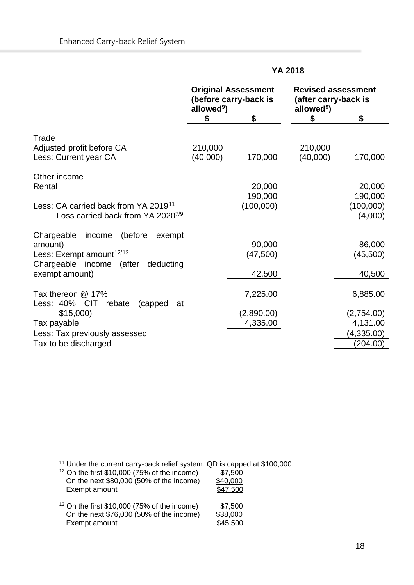|                                                                                                                                                         | <b>Original Assessment</b><br>(before carry-back is<br>allowed <sup>9</sup> ) |                                    | <b>Revised assessment</b><br>(after carry-back is<br>allowed <sup>9</sup> ) |                                                              |
|---------------------------------------------------------------------------------------------------------------------------------------------------------|-------------------------------------------------------------------------------|------------------------------------|-----------------------------------------------------------------------------|--------------------------------------------------------------|
|                                                                                                                                                         | \$                                                                            | \$                                 | \$                                                                          | \$                                                           |
| <b>Trade</b><br>Adjusted profit before CA<br>Less: Current year CA                                                                                      | 210,000<br>(40,000)                                                           | 170,000                            | 210,000<br>(40,000)                                                         | 170,000                                                      |
| Other income<br>Rental<br>Less: CA carried back from YA 2019 <sup>11</sup><br>Loss carried back from YA 2020 <sup>7/9</sup>                             |                                                                               | 20,000<br>190,000<br>(100,000)     |                                                                             | 20,000<br>190,000<br>(100,000)<br>(4,000)                    |
| Chargeable<br>income<br>(before<br>exempt<br>amount)<br>Less: Exempt amount <sup>12/13</sup><br>Chargeable income (after<br>deducting<br>exempt amount) |                                                                               | 90,000<br>(47,500)<br>42,500       |                                                                             | 86,000<br>(45,500)<br>40,500                                 |
| Tax thereon @ 17%<br>Less: 40% CIT<br>rebate<br>(capped<br>at<br>\$15,000<br>Tax payable<br>Less: Tax previously assessed<br>Tax to be discharged       |                                                                               | 7,225.00<br>(2,890.00)<br>4,335.00 |                                                                             | 6,885.00<br>(2,754.00)<br>4,131.00<br>(4,335.00)<br>(204.00) |

<sup>11</sup> Under the current carry-back relief system. QD is capped at \$100,000.

- <span id="page-20-2"></span><span id="page-20-1"></span><span id="page-20-0"></span><sup>12</sup> On the first \$10,000 (75% of the income) \$7,500 On the next \$80,000 (50% of the income) <u>\$40,000</u> Exempt amount \$47,500
	- <sup>13</sup> On the first \$10,000 (75% of the income) \$7,500<br>On the next \$76,000 (50% of the income) \$38,000 On the next \$76,000 (50% of the income)<br>Exempt amount \$45,500 Exempt amount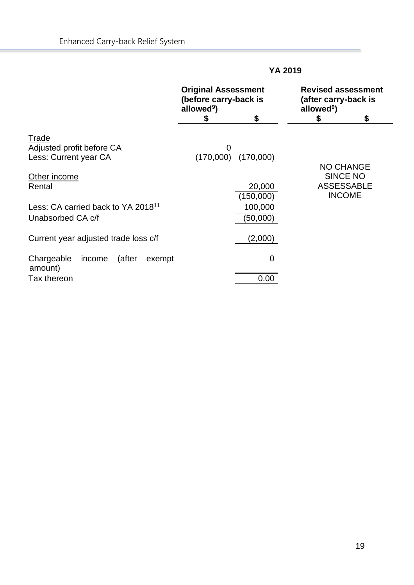|                                                     | <b>Original Assessment</b><br>(before carry-back is<br>allowed <sup>9</sup> ) | \$                      | <b>Revised assessment</b><br>(after carry-back is<br>allowed <sup>9</sup> )<br>S | \$ |
|-----------------------------------------------------|-------------------------------------------------------------------------------|-------------------------|----------------------------------------------------------------------------------|----|
| Trade<br>Adjusted profit before CA                  | 0                                                                             |                         |                                                                                  |    |
| Less: Current year CA                               |                                                                               | $(170,000)$ $(170,000)$ | <b>NO CHANGE</b>                                                                 |    |
| Other income                                        |                                                                               |                         | <b>SINCE NO</b>                                                                  |    |
| Rental                                              |                                                                               | 20,000                  | <b>ASSESSABLE</b>                                                                |    |
|                                                     |                                                                               | (150,000)               | <b>INCOME</b>                                                                    |    |
| Less: CA carried back to YA 2018 <sup>11</sup>      |                                                                               | 100,000                 |                                                                                  |    |
| Unabsorbed CA c/f                                   |                                                                               | (50,000)                |                                                                                  |    |
| Current year adjusted trade loss c/f                |                                                                               | (2,000)                 |                                                                                  |    |
| Chargeable<br>(after<br>income<br>exempt<br>amount) |                                                                               | 0                       |                                                                                  |    |
| Tax thereon                                         |                                                                               | 0.00                    |                                                                                  |    |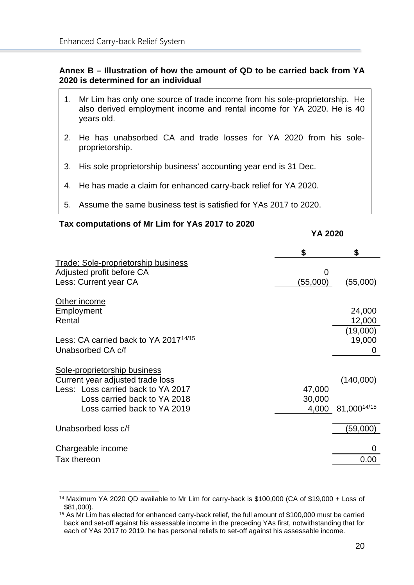#### <span id="page-22-0"></span>**Annex B – Illustration of how the amount of QD to be carried back from YA 2020 is determined for an individual**

- 1. Mr Lim has only one source of trade income from his sole-proprietorship. He also derived employment income and rental income for YA 2020. He is 40 years old.
- 2. He has unabsorbed CA and trade losses for YA 2020 from his soleproprietorship.
- 3. His sole proprietorship business' accounting year end is 31 Dec.
- 4. He has made a claim for enhanced carry-back relief for YA 2020.
- 5. Assume the same business test is satisfied for YAs 2017 to 2020.

| Tax computations of Mr Lim for YAs 2017 to 2020                                                                                                                        | YA 2020                   |                                        |
|------------------------------------------------------------------------------------------------------------------------------------------------------------------------|---------------------------|----------------------------------------|
|                                                                                                                                                                        | \$                        | \$                                     |
| <b>Trade: Sole-proprietorship business</b><br>Adjusted profit before CA<br>Less: Current year CA                                                                       | (55,000)                  | (55,000)                               |
| Other income<br>Employment<br>Rental<br>Less: CA carried back to YA 2017 <sup>14/15</sup><br>Unabsorbed CA c/f                                                         |                           | 24,000<br>12,000<br>(19,000)<br>19,000 |
| Sole-proprietorship business<br>Current year adjusted trade loss<br>Less: Loss carried back to YA 2017<br>Loss carried back to YA 2018<br>Loss carried back to YA 2019 | 47,000<br>30,000<br>4,000 | (140,000)<br>81,00014/15               |
| Unabsorbed loss c/f                                                                                                                                                    |                           | (59,000)                               |
| Chargeable income<br>Tax thereon                                                                                                                                       |                           | 0.00                                   |

#### <span id="page-22-1"></span><sup>14</sup> Maximum YA 2020 QD available to Mr Lim for carry-back is \$100,000 (CA of \$19,000 + Loss of \$81,000).

<span id="page-22-2"></span><sup>&</sup>lt;sup>15</sup> As Mr Lim has elected for enhanced carry-back relief, the full amount of \$100,000 must be carried back and set-off against his assessable income in the preceding YAs first, notwithstanding that for each of YAs 2017 to 2019, he has personal reliefs to set-off against his assessable income.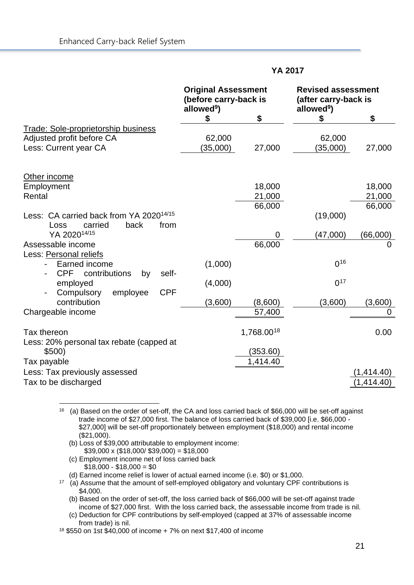|                                                                                        | <b>Original Assessment</b><br>(before carry-back is<br>allowed <sup>9</sup> ) |            | <b>Revised assessment</b><br>(after carry-back is<br>allowed <sup>9</sup> ) |                         |
|----------------------------------------------------------------------------------------|-------------------------------------------------------------------------------|------------|-----------------------------------------------------------------------------|-------------------------|
|                                                                                        | \$                                                                            | \$         | \$                                                                          | \$                      |
| Trade: Sole-proprietorship business                                                    |                                                                               |            |                                                                             |                         |
| Adjusted profit before CA                                                              | 62,000                                                                        |            | 62,000                                                                      |                         |
| Less: Current year CA                                                                  | (35,000)                                                                      | 27,000     | (35,000)                                                                    | 27,000                  |
| Other income                                                                           |                                                                               |            |                                                                             |                         |
| Employment                                                                             |                                                                               | 18,000     |                                                                             | 18,000                  |
| Rental                                                                                 |                                                                               | 21,000     |                                                                             | 21,000                  |
|                                                                                        |                                                                               | 66,000     |                                                                             | 66,000                  |
| Less: CA carried back from YA 2020 <sup>14/15</sup><br>back<br>from<br>carried<br>Loss |                                                                               |            | (19,000)                                                                    |                         |
| YA 202014/15                                                                           |                                                                               | 0          | (47,000)                                                                    | (66,000)                |
| Assessable income<br>Less: Personal reliefs                                            |                                                                               | 66,000     |                                                                             | $\Omega$                |
| Earned income<br><b>CPF</b><br>contributions<br>self-<br>by                            | (1,000)                                                                       |            | $0^{16}$                                                                    |                         |
| employed<br><b>CPF</b><br>employee<br>Compulsory                                       | (4,000)                                                                       |            | $0^{17}$                                                                    |                         |
| contribution                                                                           | (3,600)                                                                       | (8,600)    | (3,600)                                                                     | (3,600)                 |
| Chargeable income                                                                      |                                                                               | 57,400     |                                                                             | 0                       |
|                                                                                        |                                                                               |            |                                                                             |                         |
| Tax thereon<br>Less: 20% personal tax rebate (capped at                                |                                                                               | 1,768.0018 |                                                                             | 0.00                    |
| \$500)                                                                                 |                                                                               | (353.60)   |                                                                             |                         |
| Tax payable                                                                            |                                                                               | 1,414.40   |                                                                             |                         |
| Less: Tax previously assessed<br>Tax to be discharged                                  |                                                                               |            |                                                                             | (1, 414.40)<br>1,414.40 |
|                                                                                        |                                                                               |            |                                                                             |                         |

<span id="page-23-0"></span>16 (a) Based on the order of set-off, the CA and loss carried back of \$66,000 will be set-off against trade income of \$27,000 first. The balance of loss carried back of \$39,000 [i.e. \$66,000 - \$27,000] will be set-off proportionately between employment (\$18,000) and rental income (\$21,000).

(b) Loss of \$39,000 attributable to employment income:  $$39,000 \times ($18,000/ $39,000) = $18,000$ 

(c) Employment income net of loss carried back  $$18,000 - $18,000 = $0$ 

(d) Earned income relief is lower of actual earned income (i.e. \$0) or \$1,000.

<span id="page-23-1"></span> $17$  (a) Assume that the amount of self-employed obligatory and voluntary CPF contributions is \$4,000.

(b) Based on the order of set-off, the loss carried back of \$66,000 will be set-off against trade income of \$27,000 first. With the loss carried back, the assessable income from trade is nil.

(c) Deduction for CPF contributions by self-employed (capped at 37% of assessable income from trade) is nil.

<span id="page-23-2"></span><sup>18</sup> \$550 on 1st \$40,000 of income + 7% on next \$17,400 of income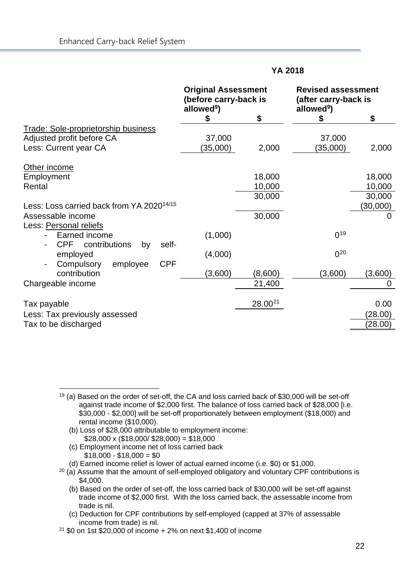|                                                                                                  | <b>Original Assessment</b><br>(before carry-back is<br>allowed <sup>9</sup> ) |                     | <b>Revised assessment</b><br>(after carry-back is<br>allowed <sup>9</sup> ) |                    |
|--------------------------------------------------------------------------------------------------|-------------------------------------------------------------------------------|---------------------|-----------------------------------------------------------------------------|--------------------|
|                                                                                                  | \$                                                                            | \$                  | \$                                                                          | \$                 |
| <b>Trade: Sole-proprietorship business</b><br>Adjusted profit before CA<br>Less: Current year CA | 37,000<br>(35,000)                                                            | 2,000               | 37,000<br>(35,000)                                                          | 2,000              |
| Other income                                                                                     |                                                                               |                     |                                                                             |                    |
| Employment<br>Rental                                                                             |                                                                               | 18,000<br>10,000    |                                                                             | 18,000<br>10,000   |
| Less: Loss carried back from YA 2020 <sup>14/15</sup>                                            |                                                                               | 30,000              |                                                                             | 30,000<br>(30,000) |
| Assessable income                                                                                |                                                                               | 30,000              |                                                                             | 0                  |
| Less: Personal reliefs<br>Earned income<br><b>CPF</b><br>contributions<br>self-<br>by            | (1,000)                                                                       |                     | $0^{19}$                                                                    |                    |
| employed<br><b>CPF</b><br>employee<br>Compulsory                                                 | (4,000)                                                                       |                     | $0^{20}$                                                                    |                    |
| contribution<br>Chargeable income                                                                | (3,600)                                                                       | (8,600)<br>21,400   | (3,600)                                                                     | (3,600)<br>0       |
| Tax payable                                                                                      |                                                                               | 28.00 <sup>21</sup> |                                                                             | 0.00               |
| Less: Tax previously assessed<br>Tax to be discharged                                            |                                                                               |                     |                                                                             | (28.00)<br>(28.00) |

- (b) Loss of \$28,000 attributable to employment income:  $$28,000 \times ($18,000/ $28,000) = $18,000$
- (c) Employment income net of loss carried back  $$18,000 - $18,000 = $0$

(d) Earned income relief is lower of actual earned income (i.e. \$0) or \$1,000.

- <span id="page-24-1"></span> $20$  (a) Assume that the amount of self-employed obligatory and voluntary CPF contributions is \$4,000.
	- (b) Based on the order of set-off, the loss carried back of \$30,000 will be set-off against trade income of \$2,000 first. With the loss carried back, the assessable income from trade is nil.
	- (c) Deduction for CPF contributions by self-employed (capped at 37% of assessable income from trade) is nil.

<span id="page-24-0"></span> $19$  (a) Based on the order of set-off, the CA and loss carried back of \$30,000 will be set-off against trade income of \$2,000 first. The balance of loss carried back of \$28,000 [i.e. \$30,000 - \$2,000] will be set-off proportionately between employment (\$18,000) and rental income (\$10,000).

<span id="page-24-2"></span><sup>21</sup> \$0 on 1st \$20,000 of income + 2% on next \$1,400 of income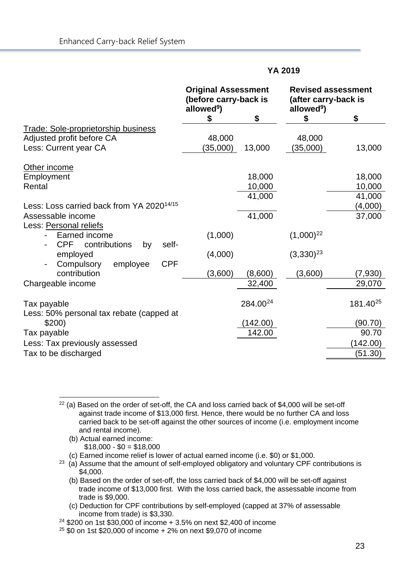|                                                                                                  | <b>Original Assessment</b><br>(before carry-back is<br>allowed <sup>9</sup> ) |                      | (after carry-back is<br>allowed <sup>9</sup> ) | <b>Revised assessment</b> |
|--------------------------------------------------------------------------------------------------|-------------------------------------------------------------------------------|----------------------|------------------------------------------------|---------------------------|
|                                                                                                  | \$                                                                            | \$                   | \$                                             | \$                        |
| <b>Trade: Sole-proprietorship business</b><br>Adjusted profit before CA<br>Less: Current year CA | 48,000<br>(35,000)                                                            | 13,000               | 48,000<br>(35,000)                             | 13,000                    |
| Other income                                                                                     |                                                                               |                      |                                                |                           |
| Employment                                                                                       |                                                                               | 18,000               |                                                | 18,000                    |
| Rental                                                                                           |                                                                               | 10,000               |                                                | 10,000                    |
|                                                                                                  |                                                                               | 41,000               |                                                | 41,000                    |
| Less: Loss carried back from YA 2020 <sup>14/15</sup>                                            |                                                                               |                      |                                                | (4,000)                   |
| Assessable income                                                                                |                                                                               | 41,000               |                                                | 37,000                    |
| Less: Personal reliefs<br>Earned income<br><b>CPF</b><br>contributions<br>self-<br>by            | (1,000)                                                                       |                      | $(1,000)^{22}$                                 |                           |
| employed                                                                                         | (4,000)                                                                       |                      | $(3,330)^{23}$                                 |                           |
| <b>CPF</b><br>employee<br>Compulsory<br>contribution                                             | (3,600)                                                                       | (8,600)              | (3,600)                                        | (7,930)                   |
| Chargeable income                                                                                |                                                                               | 32,400               |                                                | 29,070                    |
|                                                                                                  |                                                                               |                      |                                                |                           |
| Tax payable<br>Less: 50% personal tax rebate (capped at                                          |                                                                               | 284.00 <sup>24</sup> |                                                | 181.40 <sup>25</sup>      |
| \$200)                                                                                           |                                                                               | (142.00)             |                                                | (90.70)                   |
| Tax payable                                                                                      |                                                                               | 142.00               |                                                | 90.70                     |
| Less: Tax previously assessed                                                                    |                                                                               |                      |                                                | (142.00)                  |
| Tax to be discharged                                                                             |                                                                               |                      |                                                | (51.30)                   |

<span id="page-25-0"></span> $22$  (a) Based on the order of set-off, the CA and loss carried back of \$4,000 will be set-off against trade income of \$13,000 first. Hence, there would be no further CA and loss carried back to be set-off against the other sources of income (i.e. employment income and rental income).

(b) Actual earned income:

 $$18,000 - $0 = $18,000$ 

(c) Earned income relief is lower of actual earned income (i.e. \$0) or \$1,000.

<span id="page-25-1"></span><sup>23</sup> (a) Assume that the amount of self-employed obligatory and voluntary CPF contributions is \$4,000.

(b) Based on the order of set-off, the loss carried back of \$4,000 will be set-off against trade income of \$13,000 first. With the loss carried back, the assessable income from trade is \$9,000.

(c) Deduction for CPF contributions by self-employed (capped at 37% of assessable income from trade) is \$3,330.

<span id="page-25-2"></span><sup>24</sup> \$200 on 1st \$30,000 of income + 3.5% on next \$2,400 of income

<span id="page-25-3"></span><sup>25</sup> \$0 on 1st \$20,000 of income + 2% on next \$9,070 of income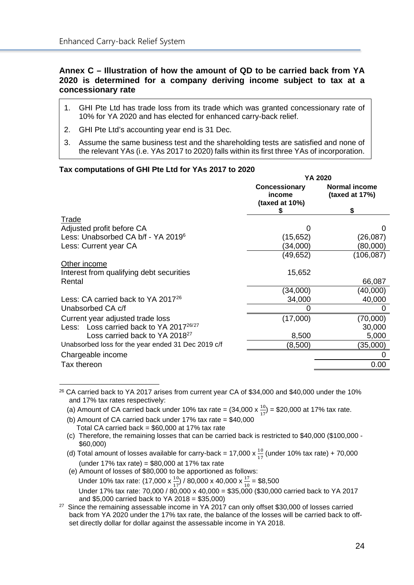#### <span id="page-26-0"></span>**Annex C – Illustration of how the amount of QD to be carried back from YA 2020 is determined for a company deriving income subject to tax at a concessionary rate**

- 1. GHI Pte Ltd has trade loss from its trade which was granted concessionary rate of 10% for YA 2020 and has elected for enhanced carry-back relief.
- 2. GHI Pte Ltd's accounting year end is 31 Dec.
- 3. Assume the same business test and the shareholding tests are satisfied and none of the relevant YAs (i.e. YAs 2017 to 2020) falls within its first three YAs of incorporation.

#### **Tax computations of GHI Pte Ltd for YAs 2017 to 2020**

|                                                    |                                                  | YA 2020                             |
|----------------------------------------------------|--------------------------------------------------|-------------------------------------|
|                                                    | <b>Concessionary</b><br>income<br>(taxed at 10%) | Normal income<br>(taxed at $17\%$ ) |
|                                                    | S                                                | \$                                  |
| Trade                                              |                                                  |                                     |
| Adjusted profit before CA                          |                                                  |                                     |
| Less: Unabsorbed CA b/f - YA 2019 <sup>6</sup>     | (15,652)                                         | (26, 087)                           |
| Less: Current year CA                              | (34,000)                                         | (80,000)                            |
|                                                    | (49,652)                                         | (106,087)                           |
| Other income                                       |                                                  |                                     |
| Interest from qualifying debt securities           | 15,652                                           |                                     |
| Rental                                             |                                                  | 66,087                              |
|                                                    | (34,000)                                         | (40,000)                            |
| Less: CA carried back to YA 2017 <sup>26</sup>     | 34,000                                           | 40,000                              |
| Unabsorbed CA c/f                                  | 0                                                | O                                   |
| Current year adjusted trade loss                   | (17,000)                                         | (70,000)                            |
| Less: Loss carried back to YA 201726/27            |                                                  | 30,000                              |
| Loss carried back to YA 2018 <sup>27</sup>         | 8,500                                            | 5,000                               |
| Unabsorbed loss for the year ended 31 Dec 2019 c/f | (8,500)                                          | (35,000)                            |
| Chargeable income                                  |                                                  |                                     |
| Tax thereon                                        |                                                  | 0.00                                |
|                                                    |                                                  |                                     |

<span id="page-26-1"></span><sup>26</sup> CA carried back to YA 2017 arises from current year CA of \$34,000 and \$40,000 under the 10% and 17% tax rates respectively:

- (a) Amount of CA carried back under 10% tax rate =  $(34,000 \times \frac{10}{17})$  = \$20,000 at 17% tax rate.
	- (b) Amount of CA carried back under 17% tax rate = \$40,000 Total CA carried back =  $$60,000$  at 17% tax rate
	- (c) Therefore, the remaining losses that can be carried back is restricted to \$40,000 (\$100,000 \$60,000)
- (d) Total amount of losses available for carry-back = 17,000  $\times \frac{10}{17}$  (under 10% tax rate) + 70,000 (under 17% tax rate) = \$80,000 at 17% tax rate

 (e) Amount of losses of \$80,000 to be apportioned as follows: Under 10% tax rate:  $(17,000 \times \frac{10}{17})/80,000 \times 40,000 \times \frac{17}{10} = $8,500$ Under 17% tax rate: 70,000 /  $80,000 \times 40,000 = $35,000$  (\$30,000 carried back to YA 2017 and \$5,000 carried back to YA 2018 = \$35,000)

<span id="page-26-2"></span><sup>27</sup> Since the remaining assessable income in YA 2017 can only offset \$30,000 of losses carried back from YA 2020 under the 17% tax rate, the balance of the losses will be carried back to offset directly dollar for dollar against the assessable income in YA 2018.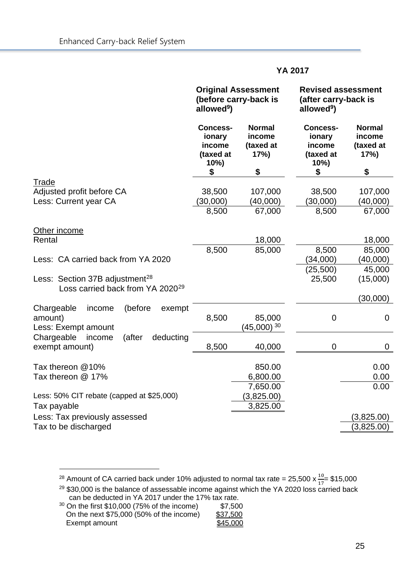|                                                                                            | <b>Original Assessment</b><br>(before carry-back is<br>allowed <sup>9</sup> ) |                                                    | <b>Revised assessment</b><br>(after carry-back is<br>allowed <sup>9</sup> ) |                                                    |
|--------------------------------------------------------------------------------------------|-------------------------------------------------------------------------------|----------------------------------------------------|-----------------------------------------------------------------------------|----------------------------------------------------|
|                                                                                            | <b>Concess-</b><br>ionary<br>income<br>(taxed at<br>10%)<br>\$                | <b>Normal</b><br>income<br>(taxed at<br>17%)<br>\$ | <b>Concess-</b><br>ionary<br>income<br>(taxed at<br>10%)<br>\$              | <b>Normal</b><br>income<br>(taxed at<br>17%)<br>\$ |
| Trade                                                                                      |                                                                               |                                                    |                                                                             |                                                    |
| Adjusted profit before CA                                                                  | 38,500                                                                        | 107,000                                            | 38,500                                                                      | 107,000                                            |
| Less: Current year CA                                                                      | (30,000)                                                                      | (40,000)                                           | (30,000)                                                                    | (40,000)                                           |
|                                                                                            | 8,500                                                                         | 67,000                                             | 8,500                                                                       | 67,000                                             |
| Other income                                                                               |                                                                               |                                                    |                                                                             |                                                    |
| Rental                                                                                     |                                                                               | 18,000                                             |                                                                             | 18,000                                             |
| Less: CA carried back from YA 2020                                                         | 8,500                                                                         | 85,000                                             | 8,500<br>(34,000)                                                           | 85,000<br>(40,000)                                 |
|                                                                                            |                                                                               |                                                    | (25, 500)                                                                   | 45,000                                             |
| Less: Section 37B adjustment <sup>28</sup><br>Loss carried back from YA 2020 <sup>29</sup> |                                                                               |                                                    | 25,500                                                                      | (15,000)                                           |
|                                                                                            |                                                                               |                                                    |                                                                             | (30,000)                                           |
| (before<br>Chargeable<br>income<br>exempt<br>amount)<br>Less: Exempt amount                | 8,500                                                                         | 85,000<br>$(45,000)^{30}$                          | $\mathbf 0$                                                                 | $\mathbf 0$                                        |
| Chargeable<br>(after<br>deducting<br>income<br>exempt amount)                              | 8,500                                                                         | 40,000                                             | $\mathbf 0$                                                                 | 0                                                  |
| Tax thereon @10%<br>Tax thereon @ 17%                                                      |                                                                               | 850.00<br>6,800.00                                 |                                                                             | 0.00<br>0.00                                       |
| Less: 50% CIT rebate (capped at \$25,000)                                                  |                                                                               | 7,650.00<br>(3,825.00)                             |                                                                             | 0.00                                               |
| Tax payable                                                                                |                                                                               | 3,825.00                                           |                                                                             |                                                    |
| Less: Tax previously assessed                                                              |                                                                               |                                                    |                                                                             | (3,825.00)                                         |
| Tax to be discharged                                                                       |                                                                               |                                                    |                                                                             | (3,825.00)                                         |
|                                                                                            |                                                                               |                                                    |                                                                             |                                                    |

<span id="page-27-0"></span><sup>28</sup> Amount of CA carried back under 10% adjusted to normal tax rate = 25,500 x  $\frac{10}{17}$ = \$15,000

<span id="page-27-1"></span><sup>29</sup> \$30,000 is the balance of assessable income against which the YA 2020 loss carried back can be deducted in YA 2017 under the 17% tax rate.

<span id="page-27-2"></span><sup>30</sup> On the first \$10,000 (75% of the income) \$7,500<br>On the next \$75,000 (50% of the income) \$37,500 On the next \$75,000 (50% of the income)<br>Exempt amount \$45,000 Exempt amount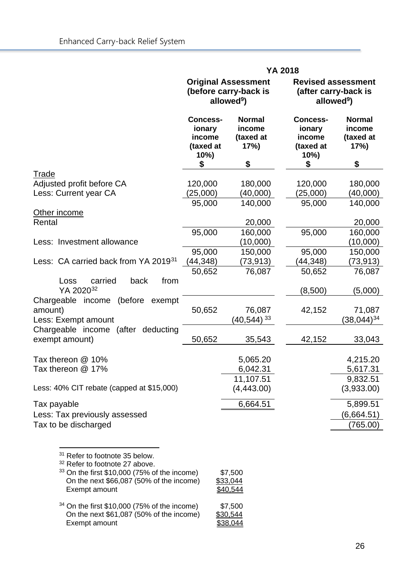|                                                                                                                                                                                                                                                       |                                                                               |                                                   | <b>YA 2018</b>                                                 |                                                                             |
|-------------------------------------------------------------------------------------------------------------------------------------------------------------------------------------------------------------------------------------------------------|-------------------------------------------------------------------------------|---------------------------------------------------|----------------------------------------------------------------|-----------------------------------------------------------------------------|
|                                                                                                                                                                                                                                                       | <b>Original Assessment</b><br>(before carry-back is<br>allowed <sup>9</sup> ) |                                                   |                                                                | <b>Revised assessment</b><br>(after carry-back is<br>allowed <sup>9</sup> ) |
|                                                                                                                                                                                                                                                       | <b>Concess-</b><br>ionary<br>income<br>(taxed at<br>10%<br>\$                 | <b>Normal</b><br>income<br>(taxed at<br>17%<br>\$ | <b>Concess-</b><br>ionary<br>income<br>(taxed at<br>10%)<br>\$ | <b>Normal</b><br>income<br>(taxed at<br>17%<br>\$                           |
| Trade                                                                                                                                                                                                                                                 |                                                                               |                                                   |                                                                |                                                                             |
| Adjusted profit before CA                                                                                                                                                                                                                             | 120,000                                                                       | 180,000                                           | 120,000                                                        | 180,000                                                                     |
| Less: Current year CA                                                                                                                                                                                                                                 | (25,000)                                                                      | (40,000)                                          | (25,000)                                                       | (40,000)                                                                    |
|                                                                                                                                                                                                                                                       | 95,000                                                                        | 140,000                                           | 95,000                                                         | 140,000                                                                     |
| Other income                                                                                                                                                                                                                                          |                                                                               |                                                   |                                                                |                                                                             |
| Rental                                                                                                                                                                                                                                                |                                                                               | 20,000                                            |                                                                | 20,000                                                                      |
|                                                                                                                                                                                                                                                       | 95,000                                                                        | 160,000                                           | 95,000                                                         | 160,000                                                                     |
| Less: Investment allowance                                                                                                                                                                                                                            |                                                                               | (10,000)                                          |                                                                | (10,000)                                                                    |
| Less: CA carried back from YA 2019 <sup>31</sup>                                                                                                                                                                                                      | 95,000<br>(44, 348)                                                           | 150,000                                           | 95,000<br>(44, 348)                                            | 150,000                                                                     |
|                                                                                                                                                                                                                                                       | 50,652                                                                        | (73,913)<br>76,087                                | 50,652                                                         | (73,913)<br>76,087                                                          |
| carried<br>from<br>Loss<br>back<br>YA 202032                                                                                                                                                                                                          |                                                                               |                                                   | (8,500)                                                        | (5,000)                                                                     |
| (before<br>Chargeable<br>income<br>exempt<br>amount)<br>Less: Exempt amount                                                                                                                                                                           | 50,652                                                                        | 76,087<br>$(40, 544)$ <sup>33</sup>               | 42,152                                                         | 71,087<br>$(38,044)^{34}$                                                   |
| Chargeable income (after<br>deducting<br>exempt amount)                                                                                                                                                                                               | 50,652                                                                        | 35,543                                            | 42,152                                                         | 33,043                                                                      |
| Tax thereon @ 10%<br>Tax thereon @ 17%                                                                                                                                                                                                                |                                                                               | 5,065.20<br>6,042.31<br>11,107.51                 |                                                                | 4,215.20<br>5,617.31<br>9,832.51                                            |
| Less: 40% CIT rebate (capped at \$15,000)                                                                                                                                                                                                             |                                                                               | (4,443.00)                                        |                                                                | (3,933.00)                                                                  |
| Tax payable                                                                                                                                                                                                                                           |                                                                               | 6,664.51                                          |                                                                | 5,899.51                                                                    |
| Less: Tax previously assessed                                                                                                                                                                                                                         |                                                                               |                                                   |                                                                | (6,664.51)                                                                  |
| Tax to be discharged                                                                                                                                                                                                                                  |                                                                               |                                                   |                                                                | (765.00)                                                                    |
| <sup>31</sup> Refer to footnote 35 below.<br><sup>32</sup> Refer to footnote 27 above.<br>33 On the first \$10,000 (75% of the income)<br>On the next \$66,087 (50% of the income)<br>Exempt amount<br>$34$ On the first \$10,000 (75% of the income) |                                                                               | \$7,500<br>\$33,044<br>\$40,544<br>\$7500         |                                                                |                                                                             |

<span id="page-28-3"></span><span id="page-28-2"></span><span id="page-28-1"></span><span id="page-28-0"></span> $34$  On the first \$10,000 (75% of the income) \$7,500 On the next \$61,087 (50% of the income) \$30,544 Exempt amount the state of the state of the state state of the state state of the state state state state state state state state state state state state state state state state state state state state state state state st